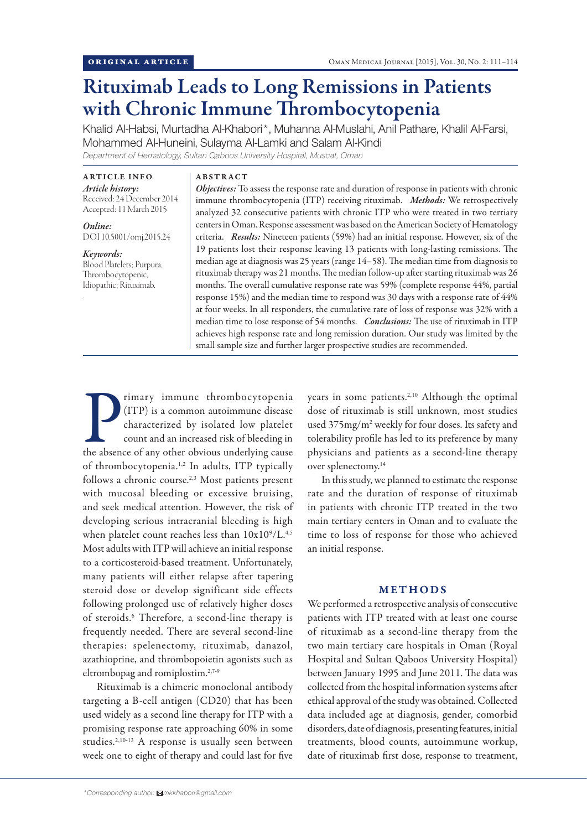# Rituximab Leads to Long Remissions in Patients with Chronic Immune Thrombocytopenia

Khalid Al-Habsi, Murtadha Al-Khabori\*, Muhanna Al-Muslahi, Anil Pathare, Khalil Al-Farsi, Mohammed Al-Huneini, Sulayma Al-Lamki and Salam Al-Kindi *Department of Hematology, Sultan Qaboos University Hospital, Muscat, Oman*

ARTICLE INFO *Article history:*  Received: 24 December 2014 Accepted: 11 March 2015

*Online:* DOI 10.5001/omj.2015.24

*Keywords:*  Blood Platelets; Purpura, Thrombocytopenic, Idiopathic; Rituximab.

.

#### ABSTRACT

*Objectives:* To assess the response rate and duration of response in patients with chronic immune thrombocytopenia (ITP) receiving rituximab. *Methods:* We retrospectively analyzed 32 consecutive patients with chronic ITP who were treated in two tertiary centers in Oman. Response assessment was based on the American Society of Hematology criteria. *Results:* Nineteen patients (59%) had an initial response. However, six of the 19 patients lost their response leaving 13 patients with long-lasting remissions. The median age at diagnosis was 25 years (range 14–58). The median time from diagnosis to rituximab therapy was 21 months. The median follow-up after starting rituximab was 26 months. The overall cumulative response rate was 59% (complete response 44%, partial response 15%) and the median time to respond was 30 days with a response rate of 44% at four weeks. In all responders, the cumulative rate of loss of response was 32% with a median time to lose response of 54 months. *Conclusions:* The use of rituximab in ITP achieves high response rate and long remission duration. Our study was limited by the small sample size and further larger prospective studies are recommended.

The absence of any other obvious underlying cause of any other obvious underlying cause of any other obvious underlying cause rimary immune thrombocytopenia (ITP) is a common autoimmune disease characterized by isolated low platelet count and an increased risk of bleeding in of thrombocytopenia.1,2 In adults, ITP typically follows a chronic course.2,3 Most patients present with mucosal bleeding or excessive bruising, and seek medical attention. However, the risk of developing serious intracranial bleeding is high when platelet count reaches less than  $10x10^9/L^{4,5}$ Most adults with ITP will achieve an initial response to a corticosteroid-based treatment. Unfortunately, many patients will either relapse after tapering steroid dose or develop significant side effects following prolonged use of relatively higher doses of steroids.<sup>6</sup> Therefore, a second-line therapy is frequently needed. There are several second-line therapies: spelenectomy, rituximab, danazol, azathioprine, and thrombopoietin agonists such as eltrombopag and romiplostim.2,7-9

Rituximab is a chimeric monoclonal antibody targeting a B-cell antigen (CD20) that has been used widely as a second line therapy for ITP with a promising response rate approaching 60% in some studies.2,10-13 A response is usually seen between week one to eight of therapy and could last for five years in some patients.2,10 Although the optimal dose of rituximab is still unknown, most studies used 375mg/m2 weekly for four doses. Its safety and tolerability profile has led to its preference by many physicians and patients as a second-line therapy over splenectomy.<sup>14</sup>

In this study, we planned to estimate the response rate and the duration of response of rituximab in patients with chronic ITP treated in the two main tertiary centers in Oman and to evaluate the time to loss of response for those who achieved an initial response.

## METHODS

We performed a retrospective analysis of consecutive patients with ITP treated with at least one course of rituximab as a second-line therapy from the two main tertiary care hospitals in Oman (Royal Hospital and Sultan Qaboos University Hospital) between January 1995 and June 2011. The data was collected from the hospital information systems after ethical approval of the study was obtained. Collected data included age at diagnosis, gender, comorbid disorders, date of diagnosis, presenting features, initial treatments, blood counts, autoimmune workup, date of rituximab first dose, response to treatment,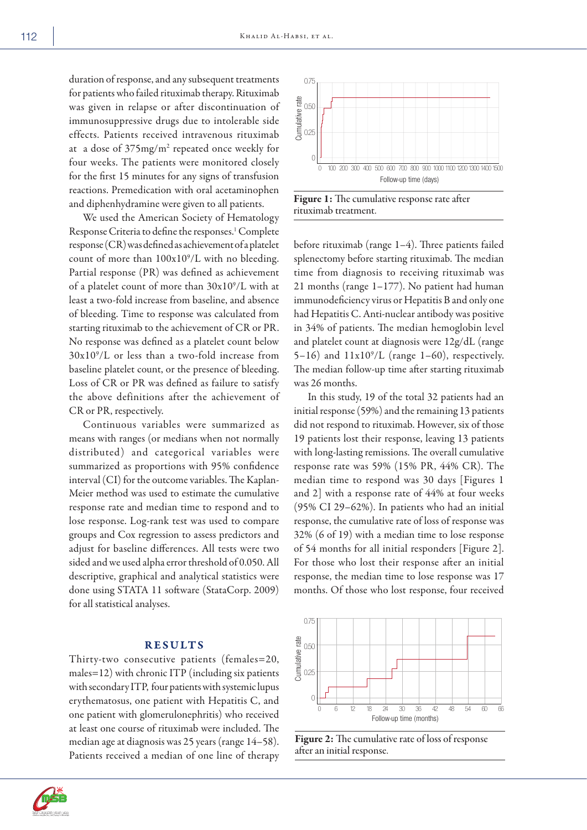duration of response, and any subsequent treatments for patients who failed rituximab therapy. Rituximab was given in relapse or after discontinuation of immunosuppressive drugs due to intolerable side effects. Patients received intravenous rituximab at a dose of 375mg/m<sup>2</sup> repeated once weekly for four weeks. The patients were monitored closely for the first 15 minutes for any signs of transfusion reactions. Premedication with oral acetaminophen and diphenhydramine were given to all patients.

We used the American Society of Hematology Response Criteria to define the responses.<sup>1</sup> Complete response (CR) was defined as achievement of a platelet count of more than  $100x10^9$ /L with no bleeding. Partial response (PR) was defined as achievement of a platelet count of more than 30x109 /L with at least a two-fold increase from baseline, and absence of bleeding. Time to response was calculated from starting rituximab to the achievement of CR or PR. No response was defined as a platelet count below  $30x10<sup>9</sup>/L$  or less than a two-fold increase from baseline platelet count, or the presence of bleeding. Loss of CR or PR was defined as failure to satisfy the above definitions after the achievement of CR or PR, respectively.

Continuous variables were summarized as means with ranges (or medians when not normally distributed) and categorical variables were summarized as proportions with 95% confidence interval (CI) for the outcome variables. The Kaplan-Meier method was used to estimate the cumulative response rate and median time to respond and to lose response. Log-rank test was used to compare groups and Cox regression to assess predictors and adjust for baseline differences. All tests were two sided and we used alpha error threshold of 0.050. All descriptive, graphical and analytical statistics were done using STATA 11 software (StataCorp. 2009) for all statistical analyses.

#### RESULTS

Thirty-two consecutive patients (females=20, males=12) with chronic ITP (including six patients with secondary ITP, four patients with systemic lupus erythematosus, one patient with Hepatitis C, and one patient with glomerulonephritis) who received at least one course of rituximab were included. The median age at diagnosis was 25 years (range 14–58). Patients received a median of one line of therapy



Figure 1: The cumulative response rate after rituximab treatment.

before rituximab (range 1–4). Three patients failed splenectomy before starting rituximab. The median time from diagnosis to receiving rituximab was 21 months (range 1–177). No patient had human immunodeficiency virus or Hepatitis B and only one had Hepatitis C. Anti-nuclear antibody was positive in 34% of patients. The median hemoglobin level and platelet count at diagnosis were 12g/dL (range 5-16) and  $11x10^9/L$  (range 1-60), respectively. The median follow-up time after starting rituximab was 26 months.

In this study, 19 of the total 32 patients had an initial response (59%) and the remaining 13 patients did not respond to rituximab. However, six of those 19 patients lost their response, leaving 13 patients with long-lasting remissions. The overall cumulative response rate was 59% (15% PR, 44% CR). The median time to respond was 30 days [Figures 1 and 2] with a response rate of 44% at four weeks (95% CI 29–62%). In patients who had an initial response, the cumulative rate of loss of response was 32% (6 of 19) with a median time to lose response of 54 months for all initial responders [Figure 2]. For those who lost their response after an initial response, the median time to lose response was 17 months. Of those who lost response, four received



Figure 2: The cumulative rate of loss of response after an initial response.

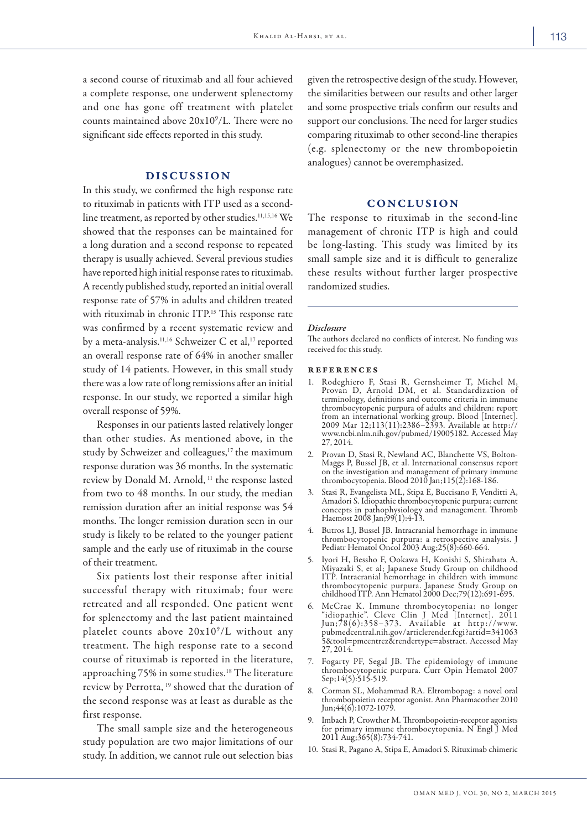a second course of rituximab and all four achieved a complete response, one underwent splenectomy and one has gone off treatment with platelet counts maintained above  $20x10^9/L$ . There were no significant side effects reported in this study.

### DISCUSSION

In this study, we confirmed the high response rate to rituximab in patients with ITP used as a secondline treatment, as reported by other studies.<sup>11,15,16</sup> We showed that the responses can be maintained for a long duration and a second response to repeated therapy is usually achieved. Several previous studies have reported high initial response rates to rituximab. A recently published study, reported an initial overall response rate of 57% in adults and children treated with rituximab in chronic ITP.<sup>15</sup> This response rate was confirmed by a recent systematic review and by a meta-analysis.<sup>11,16</sup> Schweizer C et al,<sup>17</sup> reported an overall response rate of 64% in another smaller study of 14 patients. However, in this small study there was a low rate of long remissions after an initial response. In our study, we reported a similar high overall response of 59%.

Responses in our patients lasted relatively longer than other studies. As mentioned above, in the study by Schweizer and colleagues,<sup>17</sup> the maximum response duration was 36 months. In the systematic review by Donald M. Arnold, 11 the response lasted from two to 48 months. In our study, the median remission duration after an initial response was 54 months. The longer remission duration seen in our study is likely to be related to the younger patient sample and the early use of rituximab in the course of their treatment.

Six patients lost their response after initial successful therapy with rituximab; four were retreated and all responded. One patient went for splenectomy and the last patient maintained platelet counts above 20x109 /L without any treatment. The high response rate to a second course of rituximab is reported in the literature, approaching 75% in some studies.18 The literature review by Perrotta, 19 showed that the duration of the second response was at least as durable as the first response.

The small sample size and the heterogeneous study population are two major limitations of our study. In addition, we cannot rule out selection bias

given the retrospective design of the study. However, the similarities between our results and other larger and some prospective trials confirm our results and support our conclusions. The need for larger studies comparing rituximab to other second-line therapies (e.g. splenectomy or the new thrombopoietin analogues) cannot be overemphasized.

## CONCLUSION

The response to rituximab in the second-line management of chronic ITP is high and could be long-lasting. This study was limited by its small sample size and it is difficult to generalize these results without further larger prospective randomized studies.

#### *Disclosure*

The authors declared no conflicts of interest. No funding was received for this study.

#### references

- 1. Rodeghiero F, Stasi R, Gernsheimer T, Michel M, Provan D, Arnold DM, et al. Standardization of terminology, definitions and outcome criteria in immune thrombocytopenic purpura of adults and children: report from an international working group. Blood [Internet]. 2009 Mar 12;113(11):2386–2393. Available at http:// www.ncbi.nlm.nih.gov/pubmed/19005182. Accessed May 27, 2014.
- 2. Provan D, Stasi R, Newland AC, Blanchette VS, Bolton-Maggs P, Bussel JB, et al. International consensus report on the investigation and management of primary immune thrombocytopenia. Blood 2010 Jan;115(2):168-186.
- 3. Stasi R, Evangelista ML, Stipa E, Buccisano F, Venditti A, Amadori S. Idiopathic thrombocytopenic purpura: current concepts in pathophysiology and management. Thromb Haemost 2008 Jan;99(1):4-13.
- 4. Butros LJ, Bussel JB. Intracranial hemorrhage in immune thrombocytopenic purpura: a retrospective analysis. J Pediatr Hematol Oncol 2003 Aug;25(8):660-664.
- 5. Iyori H, Bessho F, Ookawa H, Konishi S, Shirahata A, Miyazaki S, et al; Japanese Study Group on childhood ITP. Intracranial hemorrhage in children with immune thrombocytopenic purpura. Japanese Study Group on childhood ITP. Ann Hematol 2000 Dec;79(12):691-695.
- 6. McCrae K. Immune thrombocytopenia: no longer "idiopathic". Cleve Clin J Med [Internet]. 2011 Jun;78(6):358–373. Available at http ://www. pubmedcentral.nih.gov/articlerender.fcgi?artid=341063 5&tool=pmcentrez&rendertype=abstract. Accessed May 27, 2014.
- 7. Fogarty PF, Segal JB. The epidemiology of immune thrombocytopenic purpura. Curr Opin Hematol 2007 Sep;14(5):515-519.
- 8. Corman SL, Mohammad RA. Eltrombopag: a novel oral thrombopoietin receptor agonist. Ann Pharmacother 2010 Jun;  $44(6)$ : 1072-1079.
- 9. Imbach P, Crowther M. Thrombopoietin-receptor agonists for primary immune thrombocytopenia. N Engl J Med 2011 Aug;365(8):734-741.
- 10. Stasi R, Pagano A, Stipa E, Amadori S. Rituximab chimeric